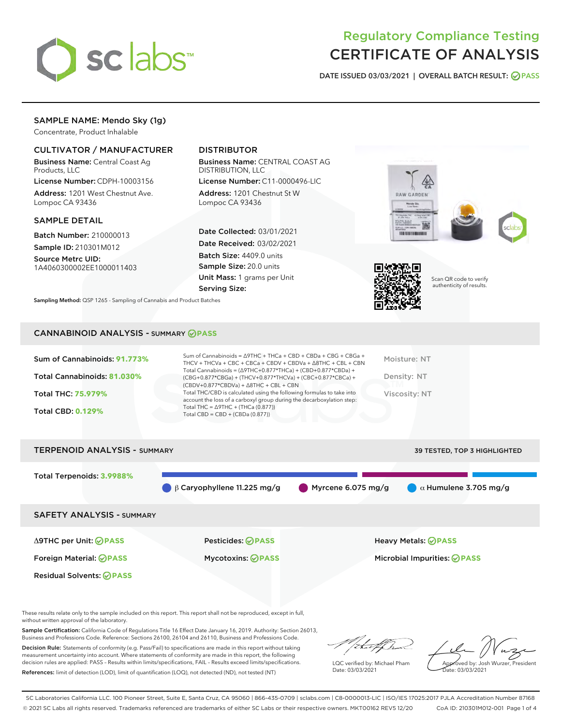

# Regulatory Compliance Testing CERTIFICATE OF ANALYSIS

DATE ISSUED 03/03/2021 | OVERALL BATCH RESULT: @ PASS

## SAMPLE NAME: Mendo Sky (1g)

Concentrate, Product Inhalable

### CULTIVATOR / MANUFACTURER

Business Name: Central Coast Ag Products, LLC

License Number: CDPH-10003156 Address: 1201 West Chestnut Ave. Lompoc CA 93436

#### SAMPLE DETAIL

Batch Number: 210000013 Sample ID: 210301M012

Source Metrc UID: 1A4060300002EE1000011403

# DISTRIBUTOR

Business Name: CENTRAL COAST AG DISTRIBUTION, LLC

License Number: C11-0000496-LIC Address: 1201 Chestnut St W Lompoc CA 93436

Date Collected: 03/01/2021 Date Received: 03/02/2021 Batch Size: 4409.0 units Sample Size: 20.0 units Unit Mass: 1 grams per Unit Serving Size:

Sampling Method: QSP 1265 - Sampling of Cannabis and Product Batches

# **RAW GARDEN TERRITORIALISTO**



Scan QR code to verify authenticity of results.

#### CANNABINOID ANALYSIS - SUMMARY **PASS**

| Sum of Cannabinoids: 91.773%<br>Total Cannabinoids: 81.030% | Sum of Cannabinoids = $\triangle$ 9THC + THCa + CBD + CBDa + CBG + CBGa +<br>THCV + THCVa + CBC + CBCa + CBDV + CBDVa + $\Delta$ 8THC + CBL + CBN<br>Total Cannabinoids = $(\Delta$ 9THC+0.877*THCa) + (CBD+0.877*CBDa) +<br>(CBG+0.877*CBGa) + (THCV+0.877*THCVa) + (CBC+0.877*CBCa) + | Moisture: NT<br>Density: NT |
|-------------------------------------------------------------|-----------------------------------------------------------------------------------------------------------------------------------------------------------------------------------------------------------------------------------------------------------------------------------------|-----------------------------|
| <b>Total THC: 75.979%</b>                                   | $(CBDV+0.877*CBDVa) + \Delta 8THC + CBL + CBN$<br>Total THC/CBD is calculated using the following formulas to take into<br>account the loss of a carboxyl group during the decarboxylation step:<br>Total THC = $\triangle$ 9THC + (THCa (0.877))                                       | Viscosity: NT               |
| <b>Total CBD: 0.129%</b>                                    | Total CBD = $CBD + (CBDa (0.877))$                                                                                                                                                                                                                                                      |                             |

# TERPENOID ANALYSIS - SUMMARY 39 TESTED, TOP 3 HIGHLIGHTED Total Terpenoids: **3.9988%** β Caryophyllene 11.225 mg/g Myrcene 6.075 mg/g  $\alpha$  Humulene 3.705 mg/g SAFETY ANALYSIS - SUMMARY Δ9THC per Unit: **PASS** Pesticides: **PASS** Heavy Metals: **PASS** Foreign Material: **PASS** Mycotoxins: **PASS** Microbial Impurities: **PASS** Residual Solvents: **OPASS**

These results relate only to the sample included on this report. This report shall not be reproduced, except in full, without written approval of the laboratory.

Sample Certification: California Code of Regulations Title 16 Effect Date January 16, 2019. Authority: Section 26013, Business and Professions Code. Reference: Sections 26100, 26104 and 26110, Business and Professions Code.

Decision Rule: Statements of conformity (e.g. Pass/Fail) to specifications are made in this report without taking measurement uncertainty into account. Where statements of conformity are made in this report, the following decision rules are applied: PASS – Results within limits/specifications, FAIL – Results exceed limits/specifications. References: limit of detection (LOD), limit of quantification (LOQ), not detected (ND), not tested (NT)

:t=4fh

LQC verified by: Michael Pham Date: 03/03/2021

Approved by: Josh Wurzer, President ate: 03/03/2021

SC Laboratories California LLC. 100 Pioneer Street, Suite E, Santa Cruz, CA 95060 | 866-435-0709 | sclabs.com | C8-0000013-LIC | ISO/IES 17025:2017 PJLA Accreditation Number 87168 © 2021 SC Labs all rights reserved. Trademarks referenced are trademarks of either SC Labs or their respective owners. MKT00162 REV5 12/20 CoA ID: 210301M012-001 Page 1 of 4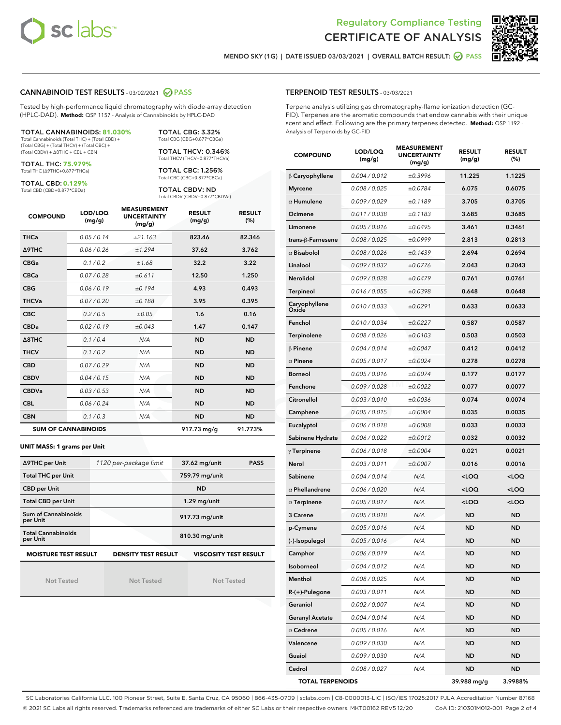



MENDO SKY (1G) | DATE ISSUED 03/03/2021 | OVERALL BATCH RESULT: Ø PASS

#### CANNABINOID TEST RESULTS - 03/02/2021 2 PASS

Tested by high-performance liquid chromatography with diode-array detection (HPLC-DAD). **Method:** QSP 1157 - Analysis of Cannabinoids by HPLC-DAD

TOTAL CANNABINOIDS: **81.030%** Total Cannabinoids (Total THC) + (Total CBD) + (Total CBG) + (Total THCV) + (Total CBC) +

(Total CBDV) + ∆8THC + CBL + CBN TOTAL THC: **75.979%**

Total THC (∆9THC+0.877\*THCa)

TOTAL CBD: **0.129%**

Total CBD (CBD+0.877\*CBDa)

Total CBG (CBG+0.877\*CBGa) TOTAL THCV: 0.346% Total THCV (THCV+0.877\*THCVa)

TOTAL CBG: 3.32%

TOTAL CBC: 1.256% Total CBC (CBC+0.877\*CBCa)

TOTAL CBDV: ND Total CBDV (CBDV+0.877\*CBDVa)

| <b>COMPOUND</b>  | LOD/LOQ<br>(mg/g)          | <b>MEASUREMENT</b><br><b>UNCERTAINTY</b><br>(mg/g) | <b>RESULT</b><br>(mg/g) | <b>RESULT</b><br>(%) |
|------------------|----------------------------|----------------------------------------------------|-------------------------|----------------------|
| <b>THCa</b>      | 0.05/0.14                  | ±21.163                                            | 823.46                  | 82.346               |
| <b>A9THC</b>     | 0.06 / 0.26                | ±1.294                                             | 37.62                   | 3.762                |
| <b>CBGa</b>      | 0.1 / 0.2                  | ±1.68                                              | 32.2                    | 3.22                 |
| <b>CBCa</b>      | 0.07/0.28                  | ±0.611                                             | 12.50                   | 1.250                |
| <b>CBG</b>       | 0.06/0.19                  | ±0.194                                             | 4.93                    | 0.493                |
| <b>THCVa</b>     | 0.07/0.20                  | ±0.188                                             | 3.95                    | 0.395                |
| <b>CBC</b>       | 0.2 / 0.5                  | ±0.05                                              | 1.6                     | 0.16                 |
| <b>CBDa</b>      | 0.02/0.19                  | ±0.043                                             | 1.47                    | 0.147                |
| $\triangle$ 8THC | 0.1 / 0.4                  | N/A                                                | <b>ND</b>               | <b>ND</b>            |
| <b>THCV</b>      | 0.1/0.2                    | N/A                                                | <b>ND</b>               | <b>ND</b>            |
| <b>CBD</b>       | 0.07/0.29                  | N/A                                                | <b>ND</b>               | <b>ND</b>            |
| <b>CBDV</b>      | 0.04 / 0.15                | N/A                                                | <b>ND</b>               | <b>ND</b>            |
| <b>CBDVa</b>     | 0.03/0.53                  | N/A                                                | <b>ND</b>               | <b>ND</b>            |
| <b>CBL</b>       | 0.06 / 0.24                | N/A                                                | <b>ND</b>               | <b>ND</b>            |
| <b>CBN</b>       | 0.1/0.3                    | N/A                                                | <b>ND</b>               | <b>ND</b>            |
|                  | <b>SUM OF CANNABINOIDS</b> |                                                    | 917.73 mg/g             | 91.773%              |

#### **UNIT MASS: 1 grams per Unit**

| ∆9THC per Unit                                                                            | 1120 per-package limit | 37.62 mg/unit  | <b>PASS</b> |  |  |
|-------------------------------------------------------------------------------------------|------------------------|----------------|-------------|--|--|
| <b>Total THC per Unit</b>                                                                 |                        | 759.79 mg/unit |             |  |  |
| <b>CBD per Unit</b>                                                                       |                        | <b>ND</b>      |             |  |  |
| <b>Total CBD per Unit</b>                                                                 |                        | $1.29$ mg/unit |             |  |  |
| Sum of Cannabinoids<br>per Unit                                                           |                        | 917.73 mg/unit |             |  |  |
| <b>Total Cannabinoids</b><br>per Unit                                                     |                        | 810.30 mg/unit |             |  |  |
| <b>MOISTURE TEST RESULT</b><br><b>VISCOSITY TEST RESULT</b><br><b>DENSITY TEST RESULT</b> |                        |                |             |  |  |

Not Tested

Not Tested

Not Tested

#### TERPENOID TEST RESULTS - 03/03/2021

Terpene analysis utilizing gas chromatography-flame ionization detection (GC-FID). Terpenes are the aromatic compounds that endow cannabis with their unique scent and effect. Following are the primary terpenes detected. **Method:** QSP 1192 - Analysis of Terpenoids by GC-FID

| <b>COMPOUND</b>         | LOD/LOQ<br>(mg/g) | <b>MEASUREMENT</b><br><b>UNCERTAINTY</b><br>(mg/g) | <b>RESULT</b><br>(mg/g)                         | <b>RESULT</b><br>$(\%)$ |
|-------------------------|-------------------|----------------------------------------------------|-------------------------------------------------|-------------------------|
| $\beta$ Caryophyllene   | 0.004 / 0.012     | ±0.3996                                            | 11.225                                          | 1.1225                  |
| <b>Myrcene</b>          | 0.008 / 0.025     | ±0.0784                                            | 6.075                                           | 0.6075                  |
| $\alpha$ Humulene       | 0.009/0.029       | ±0.1189                                            | 3.705                                           | 0.3705                  |
| Ocimene                 | 0.011 / 0.038     | ±0.1183                                            | 3.685                                           | 0.3685                  |
| Limonene                | 0.005 / 0.016     | ±0.0495                                            | 3.461                                           | 0.3461                  |
| trans-ß-Farnesene       | 0.008 / 0.025     | ±0.0999                                            | 2.813                                           | 0.2813                  |
| $\alpha$ Bisabolol      | 0.008 / 0.026     | ±0.1439                                            | 2.694                                           | 0.2694                  |
| Linalool                | 0.009 / 0.032     | ±0.0776                                            | 2.043                                           | 0.2043                  |
| Nerolidol               | 0.009 / 0.028     | ±0.0479                                            | 0.761                                           | 0.0761                  |
| Terpineol               | 0.016 / 0.055     | ±0.0398                                            | 0.648                                           | 0.0648                  |
| Caryophyllene<br>Oxide  | 0.010 / 0.033     | ±0.0291                                            | 0.633                                           | 0.0633                  |
| Fenchol                 | 0.010 / 0.034     | ±0.0227                                            | 0.587                                           | 0.0587                  |
| Terpinolene             | 0.008 / 0.026     | ±0.0103                                            | 0.503                                           | 0.0503                  |
| $\beta$ Pinene          | 0.004 / 0.014     | ±0.0047                                            | 0.412                                           | 0.0412                  |
| $\alpha$ Pinene         | 0.005 / 0.017     | ±0.0024                                            | 0.278                                           | 0.0278                  |
| <b>Borneol</b>          | 0.005 / 0.016     | ±0.0074                                            | 0.177                                           | 0.0177                  |
| Fenchone                | 0.009 / 0.028     | ±0.0022                                            | 0.077                                           | 0.0077                  |
| Citronellol             | 0.003 / 0.010     | ±0.0036                                            | 0.074                                           | 0.0074                  |
| Camphene                | 0.005 / 0.015     | ±0.0004                                            | 0.035                                           | 0.0035                  |
| Eucalyptol              | 0.006 / 0.018     | ±0.0008                                            | 0.033                                           | 0.0033                  |
| Sabinene Hydrate        | 0.006 / 0.022     | ±0.0012                                            | 0.032                                           | 0.0032                  |
| $\gamma$ Terpinene      | 0.006 / 0.018     | ±0.0004                                            | 0.021                                           | 0.0021                  |
| Nerol                   | 0.003 / 0.011     | ±0.0007                                            | 0.016                                           | 0.0016                  |
| Sabinene                | 0.004 / 0.014     | N/A                                                | <loq< th=""><th><loq< th=""></loq<></th></loq<> | <loq< th=""></loq<>     |
| $\alpha$ Phellandrene   | 0.006 / 0.020     | N/A                                                | <loq< th=""><th><loq< th=""></loq<></th></loq<> | <loq< th=""></loq<>     |
| $\alpha$ Terpinene      | 0.005 / 0.017     | N/A                                                | <loq< th=""><th><loq< th=""></loq<></th></loq<> | <loq< th=""></loq<>     |
| 3 Carene                | 0.005 / 0.018     | N/A                                                | <b>ND</b>                                       | ND                      |
| p-Cymene                | 0.005 / 0.016     | N/A                                                | <b>ND</b>                                       | ND                      |
| (-)-Isopulegol          | 0.005 / 0.016     | N/A                                                | <b>ND</b>                                       | ND                      |
| Camphor                 | 0.006 / 0.019     | N/A                                                | <b>ND</b>                                       | ND                      |
| Isoborneol              | 0.004 / 0.012     | N/A                                                | ND                                              | ND                      |
| Menthol                 | 0.008 / 0.025     | N/A                                                | ND                                              | ND                      |
| R-(+)-Pulegone          | 0.003 / 0.011     | N/A                                                | ND                                              | ND                      |
| Geraniol                | 0.002 / 0.007     | N/A                                                | <b>ND</b>                                       | ND                      |
| <b>Geranyl Acetate</b>  | 0.004 / 0.014     | N/A                                                | ND                                              | ND                      |
| $\alpha$ Cedrene        | 0.005 / 0.016     | N/A                                                | ND                                              | ND                      |
| Valencene               | 0.009 / 0.030     | N/A                                                | ND                                              | ND                      |
| Guaiol                  | 0.009 / 0.030     | N/A                                                | ND                                              | ND                      |
| Cedrol                  | 0.008 / 0.027     | N/A                                                | ND                                              | ND                      |
| <b>TOTAL TERPENOIDS</b> |                   |                                                    | 39.988 mg/g                                     | 3.9988%                 |

SC Laboratories California LLC. 100 Pioneer Street, Suite E, Santa Cruz, CA 95060 | 866-435-0709 | sclabs.com | C8-0000013-LIC | ISO/IES 17025:2017 PJLA Accreditation Number 87168 © 2021 SC Labs all rights reserved. Trademarks referenced are trademarks of either SC Labs or their respective owners. MKT00162 REV5 12/20 CoA ID: 210301M012-001 Page 2 of 4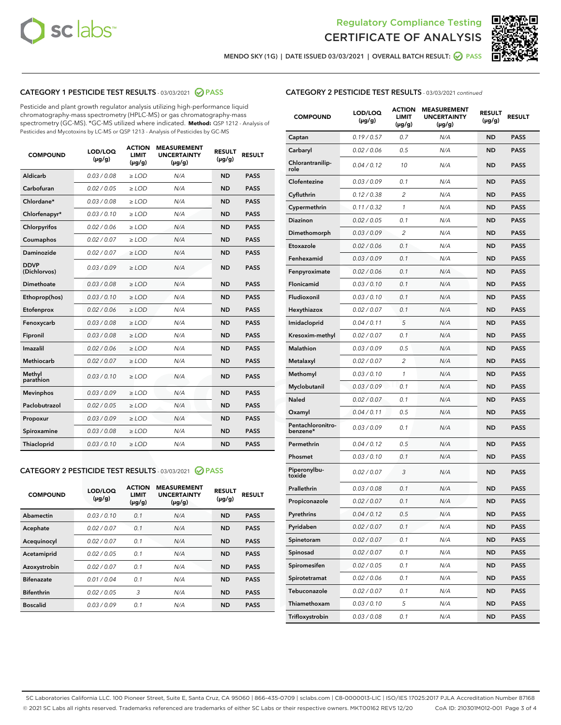



MENDO SKY (1G) | DATE ISSUED 03/03/2021 | OVERALL BATCH RESULT: Ø PASS

## CATEGORY 1 PESTICIDE TEST RESULTS - 03/03/2021 2 PASS

Pesticide and plant growth regulator analysis utilizing high-performance liquid chromatography-mass spectrometry (HPLC-MS) or gas chromatography-mass spectrometry (GC-MS). \*GC-MS utilized where indicated. **Method:** QSP 1212 - Analysis of Pesticides and Mycotoxins by LC-MS or QSP 1213 - Analysis of Pesticides by GC-MS

| <b>COMPOUND</b>             | LOD/LOQ<br>$(\mu g/g)$ | <b>ACTION</b><br>LIMIT<br>$(\mu g/g)$ | <b>MEASUREMENT</b><br><b>UNCERTAINTY</b><br>$(\mu g/g)$ | <b>RESULT</b><br>$(\mu g/g)$ | <b>RESULT</b> |
|-----------------------------|------------------------|---------------------------------------|---------------------------------------------------------|------------------------------|---------------|
| Aldicarb                    | 0.03 / 0.08            | $\ge$ LOD                             | N/A                                                     | <b>ND</b>                    | <b>PASS</b>   |
| Carbofuran                  | 0.02 / 0.05            | $\ge$ LOD                             | N/A                                                     | <b>ND</b>                    | <b>PASS</b>   |
| Chlordane*                  | 0.03 / 0.08            | $\ge$ LOD                             | N/A                                                     | <b>ND</b>                    | <b>PASS</b>   |
| Chlorfenapyr*               | 0.03/0.10              | $\ge$ LOD                             | N/A                                                     | <b>ND</b>                    | <b>PASS</b>   |
| Chlorpyrifos                | 0.02 / 0.06            | $\ge$ LOD                             | N/A                                                     | <b>ND</b>                    | <b>PASS</b>   |
| Coumaphos                   | 0.02 / 0.07            | $\ge$ LOD                             | N/A                                                     | <b>ND</b>                    | <b>PASS</b>   |
| Daminozide                  | 0.02/0.07              | $\ge$ LOD                             | N/A                                                     | <b>ND</b>                    | <b>PASS</b>   |
| <b>DDVP</b><br>(Dichlorvos) | 0.03/0.09              | $\ge$ LOD                             | N/A                                                     | <b>ND</b>                    | <b>PASS</b>   |
| Dimethoate                  | 0.03 / 0.08            | $>$ LOD                               | N/A                                                     | <b>ND</b>                    | <b>PASS</b>   |
| Ethoprop(hos)               | 0.03/0.10              | $\ge$ LOD                             | N/A                                                     | <b>ND</b>                    | <b>PASS</b>   |
| Etofenprox                  | 0.02/0.06              | $>$ LOD                               | N/A                                                     | <b>ND</b>                    | <b>PASS</b>   |
| Fenoxycarb                  | 0.03/0.08              | $>$ LOD                               | N/A                                                     | <b>ND</b>                    | <b>PASS</b>   |
| Fipronil                    | 0.03 / 0.08            | $>$ LOD                               | N/A                                                     | <b>ND</b>                    | <b>PASS</b>   |
| Imazalil                    | 0.02/0.06              | $>$ LOD                               | N/A                                                     | <b>ND</b>                    | <b>PASS</b>   |
| <b>Methiocarb</b>           | 0.02 / 0.07            | $\ge$ LOD                             | N/A                                                     | <b>ND</b>                    | <b>PASS</b>   |
| Methyl<br>parathion         | 0.03/0.10              | $\ge$ LOD                             | N/A                                                     | <b>ND</b>                    | <b>PASS</b>   |
| <b>Mevinphos</b>            | 0.03/0.09              | $\ge$ LOD                             | N/A                                                     | <b>ND</b>                    | <b>PASS</b>   |
| Paclobutrazol               | 0.02 / 0.05            | $\ge$ LOD                             | N/A                                                     | <b>ND</b>                    | <b>PASS</b>   |
| Propoxur                    | 0.03 / 0.09            | $\ge$ LOD                             | N/A                                                     | <b>ND</b>                    | <b>PASS</b>   |
| Spiroxamine                 | 0.03 / 0.08            | $\ge$ LOD                             | N/A                                                     | <b>ND</b>                    | <b>PASS</b>   |
| Thiacloprid                 | 0.03/0.10              | $\ge$ LOD                             | N/A                                                     | <b>ND</b>                    | <b>PASS</b>   |

#### CATEGORY 2 PESTICIDE TEST RESULTS - 03/03/2021 @ PASS

| <b>COMPOUND</b>   | LOD/LOQ<br>$(\mu g/g)$ | <b>ACTION</b><br><b>LIMIT</b><br>$(\mu g/g)$ | <b>MEASUREMENT</b><br><b>UNCERTAINTY</b><br>$(\mu g/g)$ | <b>RESULT</b><br>$(\mu g/g)$ | <b>RESULT</b> |
|-------------------|------------------------|----------------------------------------------|---------------------------------------------------------|------------------------------|---------------|
| Abamectin         | 0.03/0.10              | 0.1                                          | N/A                                                     | <b>ND</b>                    | <b>PASS</b>   |
| Acephate          | 0.02/0.07              | 0.1                                          | N/A                                                     | <b>ND</b>                    | <b>PASS</b>   |
| Acequinocyl       | 0.02/0.07              | 0.1                                          | N/A                                                     | <b>ND</b>                    | <b>PASS</b>   |
| Acetamiprid       | 0.02/0.05              | 0.1                                          | N/A                                                     | <b>ND</b>                    | <b>PASS</b>   |
| Azoxystrobin      | 0.02/0.07              | 0.1                                          | N/A                                                     | <b>ND</b>                    | <b>PASS</b>   |
| <b>Bifenazate</b> | 0.01/0.04              | 0.1                                          | N/A                                                     | <b>ND</b>                    | <b>PASS</b>   |
| <b>Bifenthrin</b> | 0.02/0.05              | 3                                            | N/A                                                     | <b>ND</b>                    | <b>PASS</b>   |
| <b>Boscalid</b>   | 0.03/0.09              | 0.1                                          | N/A                                                     | <b>ND</b>                    | <b>PASS</b>   |

| <b>CATEGORY 2 PESTICIDE TEST RESULTS</b> - 03/03/2021 continued |  |  |
|-----------------------------------------------------------------|--|--|
|                                                                 |  |  |

| <b>COMPOUND</b>               | LOD/LOQ<br>(µg/g) | <b>ACTION</b><br>LIMIT<br>(µg/g) | <b>MEASUREMENT</b><br><b>UNCERTAINTY</b><br>(µg/g) | <b>RESULT</b><br>(µg/g) | <b>RESULT</b> |
|-------------------------------|-------------------|----------------------------------|----------------------------------------------------|-------------------------|---------------|
| Captan                        | 0.19 / 0.57       | 0.7                              | N/A                                                | ND                      | <b>PASS</b>   |
| Carbaryl                      | 0.02 / 0.06       | 0.5                              | N/A                                                | <b>ND</b>               | <b>PASS</b>   |
| Chlorantranilip-<br>role      | 0.04 / 0.12       | 10                               | N/A                                                | ND                      | PASS          |
| Clofentezine                  | 0.03 / 0.09       | 0.1                              | N/A                                                | ND                      | PASS          |
| Cyfluthrin                    | 0.12 / 0.38       | $\overline{c}$                   | N/A                                                | ND                      | <b>PASS</b>   |
| Cypermethrin                  | 0.11 / 0.32       | 1                                | N/A                                                | ND                      | PASS          |
| Diazinon                      | 0.02 / 0.05       | 0.1                              | N/A                                                | ND                      | PASS          |
| Dimethomorph                  | 0.03 / 0.09       | $\overline{c}$                   | N/A                                                | ND                      | PASS          |
| Etoxazole                     | 0.02 / 0.06       | 0.1                              | N/A                                                | ND                      | <b>PASS</b>   |
| Fenhexamid                    | 0.03 / 0.09       | 0.1                              | N/A                                                | ND                      | <b>PASS</b>   |
| Fenpyroximate                 | 0.02 / 0.06       | 0.1                              | N/A                                                | ND                      | PASS          |
| Flonicamid                    | 0.03/0.10         | 0.1                              | N/A                                                | ND                      | <b>PASS</b>   |
| Fludioxonil                   | 0.03 / 0.10       | 0.1                              | N/A                                                | ND                      | <b>PASS</b>   |
| Hexythiazox                   | 0.02 / 0.07       | 0.1                              | N/A                                                | ND                      | PASS          |
| Imidacloprid                  | 0.04 / 0.11       | 5                                | N/A                                                | ND                      | <b>PASS</b>   |
| Kresoxim-methyl               | 0.02 / 0.07       | 0.1                              | N/A                                                | ND                      | <b>PASS</b>   |
| Malathion                     | 0.03 / 0.09       | 0.5                              | N/A                                                | ND                      | PASS          |
| Metalaxyl                     | 0.02 / 0.07       | 2                                | N/A                                                | ND                      | <b>PASS</b>   |
| Methomyl                      | 0.03 / 0.10       | 1                                | N/A                                                | ND                      | <b>PASS</b>   |
| Myclobutanil                  | 0.03 / 0.09       | 0.1                              | N/A                                                | ND                      | PASS          |
| Naled                         | 0.02 / 0.07       | 0.1                              | N/A                                                | ND                      | <b>PASS</b>   |
| Oxamyl                        | 0.04 / 0.11       | 0.5                              | N/A                                                | ND                      | PASS          |
| Pentachloronitro-<br>benzene* | 0.03 / 0.09       | 0.1                              | N/A                                                | ND                      | PASS          |
| Permethrin                    | 0.04 / 0.12       | 0.5                              | N/A                                                | ND                      | PASS          |
| Phosmet                       | 0.03 / 0.10       | 0.1                              | N/A                                                | ND                      | PASS          |
| Piperonylbu-<br>toxide        | 0.02 / 0.07       | 3                                | N/A                                                | ND                      | PASS          |
| Prallethrin                   | 0.03 / 0.08       | 0.1                              | N/A                                                | ND                      | <b>PASS</b>   |
| Propiconazole                 | 0.02 / 0.07       | 0.1                              | N/A                                                | ND                      | <b>PASS</b>   |
| Pyrethrins                    | 0.04 / 0.12       | 0.5                              | N/A                                                | ND.                     | PASS          |
| Pyridaben                     | 0.02 / 0.07       | 0.1                              | N/A                                                | ND                      | PASS          |
| Spinetoram                    | 0.02 / 0.07       | 0.1                              | N/A                                                | ND                      | <b>PASS</b>   |
| Spinosad                      | 0.02 / 0.07       | 0.1                              | N/A                                                | ND                      | <b>PASS</b>   |
| Spiromesifen                  | 0.02 / 0.05       | 0.1                              | N/A                                                | ND                      | <b>PASS</b>   |
| Spirotetramat                 | 0.02 / 0.06       | 0.1                              | N/A                                                | ND                      | <b>PASS</b>   |
| Tebuconazole                  | 0.02 / 0.07       | 0.1                              | N/A                                                | ND                      | <b>PASS</b>   |
| Thiamethoxam                  | 0.03 / 0.10       | 5                                | N/A                                                | ND                      | <b>PASS</b>   |
| Trifloxystrobin               | 0.03 / 0.08       | 0.1                              | N/A                                                | ND                      | <b>PASS</b>   |